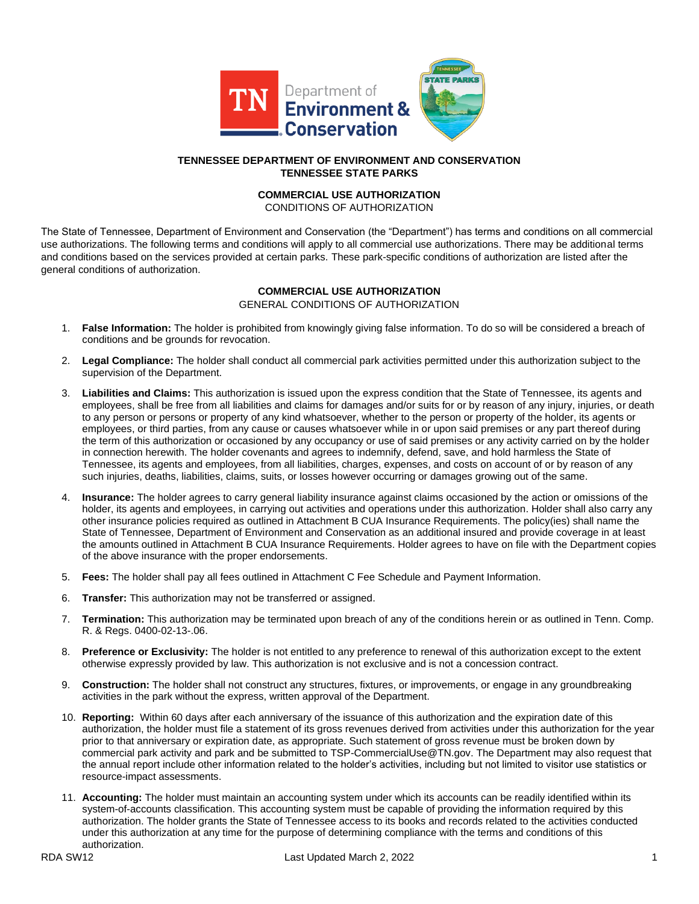

## **TENNESSEE DEPARTMENT OF ENVIRONMENT AND CONSERVATION TENNESSEE STATE PARKS**

# **COMMERCIAL USE AUTHORIZATION**

CONDITIONS OF AUTHORIZATION

The State of Tennessee, Department of Environment and Conservation (the "Department") has terms and conditions on all commercial use authorizations. The following terms and conditions will apply to all commercial use authorizations. There may be additional terms and conditions based on the services provided at certain parks. These park-specific conditions of authorization are listed after the general conditions of authorization.

## **COMMERCIAL USE AUTHORIZATION**  GENERAL CONDITIONS OF AUTHORIZATION

- 1. **False Information:** The holder is prohibited from knowingly giving false information. To do so will be considered a breach of conditions and be grounds for revocation.
- 2. **Legal Compliance:** The holder shall conduct all commercial park activities permitted under this authorization subject to the supervision of the Department.
- 3. **Liabilities and Claims:** This authorization is issued upon the express condition that the State of Tennessee, its agents and employees, shall be free from all liabilities and claims for damages and/or suits for or by reason of any injury, injuries, or death to any person or persons or property of any kind whatsoever, whether to the person or property of the holder, its agents or employees, or third parties, from any cause or causes whatsoever while in or upon said premises or any part thereof during the term of this authorization or occasioned by any occupancy or use of said premises or any activity carried on by the holder in connection herewith. The holder covenants and agrees to indemnify, defend, save, and hold harmless the State of Tennessee, its agents and employees, from all liabilities, charges, expenses, and costs on account of or by reason of any such injuries, deaths, liabilities, claims, suits, or losses however occurring or damages growing out of the same.
- 4. **Insurance:** The holder agrees to carry general liability insurance against claims occasioned by the action or omissions of the holder, its agents and employees, in carrying out activities and operations under this authorization. Holder shall also carry any other insurance policies required as outlined in Attachment B CUA Insurance Requirements. The policy(ies) shall name the State of Tennessee, Department of Environment and Conservation as an additional insured and provide coverage in at least the amounts outlined in Attachment B CUA Insurance Requirements. Holder agrees to have on file with the Department copies of the above insurance with the proper endorsements.
- 5. **Fees:** The holder shall pay all fees outlined in Attachment C Fee Schedule and Payment Information.
- 6. **Transfer:** This authorization may not be transferred or assigned.
- 7. **Termination:** This authorization may be terminated upon breach of any of the conditions herein or as outlined in Tenn. Comp. R. & Regs. 0400-02-13-.06.
- 8. **Preference or Exclusivity:** The holder is not entitled to any preference to renewal of this authorization except to the extent otherwise expressly provided by law. This authorization is not exclusive and is not a concession contract.
- 9. **Construction:** The holder shall not construct any structures, fixtures, or improvements, or engage in any groundbreaking activities in the park without the express, written approval of the Department.
- 10. **Reporting:** Within 60 days after each anniversary of the issuance of this authorization and the expiration date of this authorization, the holder must file a statement of its gross revenues derived from activities under this authorization for the year prior to that anniversary or expiration date, as appropriate. Such statement of gross revenue must be broken down by commercial park activity and park and be submitted to TSP-CommercialUse@TN.gov. The Department may also request that the annual report include other information related to the holder's activities, including but not limited to visitor use statistics or resource-impact assessments.
- 11. **Accounting:** The holder must maintain an accounting system under which its accounts can be readily identified within its system-of-accounts classification. This accounting system must be capable of providing the information required by this authorization. The holder grants the State of Tennessee access to its books and records related to the activities conducted under this authorization at any time for the purpose of determining compliance with the terms and conditions of this authorization.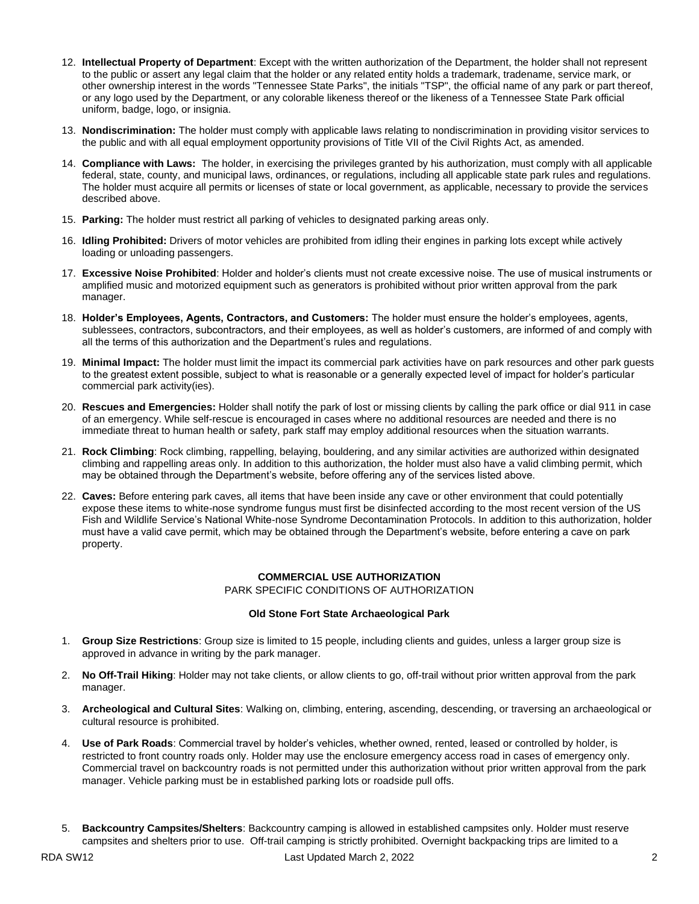- 12. **Intellectual Property of Department**: Except with the written authorization of the Department, the holder shall not represent to the public or assert any legal claim that the holder or any related entity holds a trademark, tradename, service mark, or other ownership interest in the words "Tennessee State Parks", the initials "TSP", the official name of any park or part thereof, or any logo used by the Department, or any colorable likeness thereof or the likeness of a Tennessee State Park official uniform, badge, logo, or insignia.
- 13. **Nondiscrimination:** The holder must comply with applicable laws relating to nondiscrimination in providing visitor services to the public and with all equal employment opportunity provisions of Title VII of the Civil Rights Act, as amended.
- 14. **Compliance with Laws:** The holder, in exercising the privileges granted by his authorization, must comply with all applicable federal, state, county, and municipal laws, ordinances, or regulations, including all applicable state park rules and regulations. The holder must acquire all permits or licenses of state or local government, as applicable, necessary to provide the services described above.
- 15. **Parking:** The holder must restrict all parking of vehicles to designated parking areas only.
- 16. **Idling Prohibited:** Drivers of motor vehicles are prohibited from idling their engines in parking lots except while actively loading or unloading passengers.
- 17. **Excessive Noise Prohibited**: Holder and holder's clients must not create excessive noise. The use of musical instruments or amplified music and motorized equipment such as generators is prohibited without prior written approval from the park manager.
- 18. **Holder's Employees, Agents, Contractors, and Customers:** The holder must ensure the holder's employees, agents, sublessees, contractors, subcontractors, and their employees, as well as holder's customers, are informed of and comply with all the terms of this authorization and the Department's rules and regulations.
- 19. **Minimal Impact:** The holder must limit the impact its commercial park activities have on park resources and other park guests to the greatest extent possible, subject to what is reasonable or a generally expected level of impact for holder's particular commercial park activity(ies).
- 20. **Rescues and Emergencies:** Holder shall notify the park of lost or missing clients by calling the park office or dial 911 in case of an emergency. While self-rescue is encouraged in cases where no additional resources are needed and there is no immediate threat to human health or safety, park staff may employ additional resources when the situation warrants.
- 21. **Rock Climbing**: Rock climbing, rappelling, belaying, bouldering, and any similar activities are authorized within designated climbing and rappelling areas only. In addition to this authorization, the holder must also have a valid climbing permit, which may be obtained through the Department's website, before offering any of the services listed above.
- 22. **Caves:** Before entering park caves, all items that have been inside any cave or other environment that could potentially expose these items to white-nose syndrome fungus must first be disinfected according to the most recent version of the US Fish and Wildlife Service's National White-nose Syndrome Decontamination Protocols. In addition to this authorization, holder must have a valid cave permit, which may be obtained through the Department's website, before entering a cave on park property.

## **COMMERCIAL USE AUTHORIZATION**  PARK SPECIFIC CONDITIONS OF AUTHORIZATION

#### **Old Stone Fort State Archaeological Park**

- 1. **Group Size Restrictions**: Group size is limited to 15 people, including clients and guides, unless a larger group size is approved in advance in writing by the park manager.
- 2. **No Off-Trail Hiking**: Holder may not take clients, or allow clients to go, off-trail without prior written approval from the park manager.
- 3. **Archeological and Cultural Sites**: Walking on, climbing, entering, ascending, descending, or traversing an archaeological or cultural resource is prohibited.
- 4. **Use of Park Roads**: Commercial travel by holder's vehicles, whether owned, rented, leased or controlled by holder, is restricted to front country roads only. Holder may use the enclosure emergency access road in cases of emergency only. Commercial travel on backcountry roads is not permitted under this authorization without prior written approval from the park manager. Vehicle parking must be in established parking lots or roadside pull offs.
- 5. **Backcountry Campsites/Shelters**: Backcountry camping is allowed in established campsites only. Holder must reserve campsites and shelters prior to use. Off-trail camping is strictly prohibited. Overnight backpacking trips are limited to a